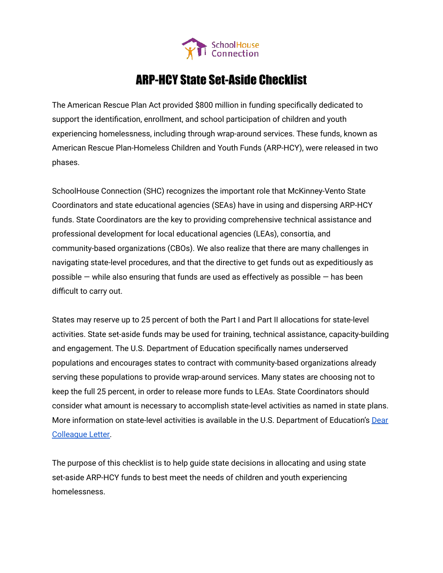

# ARP-HCY State Set-Aside Checklist

The American Rescue Plan Act provided \$800 million in funding specifically dedicated to support the identification, enrollment, and school participation of children and youth experiencing homelessness, including through wrap-around services. These funds, known as American Rescue Plan-Homeless Children and Youth Funds (ARP-HCY), were released in two phases.

SchoolHouse Connection (SHC) recognizes the important role that McKinney-Vento State Coordinators and state educational agencies (SEAs) have in using and dispersing ARP-HCY funds. State Coordinators are the key to providing comprehensive technical assistance and professional development for local educational agencies (LEAs), consortia, and community-based organizations (CBOs). We also realize that there are many challenges in navigating state-level procedures, and that the directive to get funds out as expeditiously as possible  $-$  while also ensuring that funds are used as effectively as possible  $-$  has been difficult to carry out.

States may reserve up to 25 percent of both the Part I and Part II allocations for state-level activities. State set-aside funds may be used for training, technical assistance, capacity-building and engagement. The U.S. Department of Education specifically names underserved populations and encourages states to contract with community-based organizations already serving these populations to provide wrap-around services. Many states are choosing not to keep the full 25 percent, in order to release more funds to LEAs. State Coordinators should consider what amount is necessary to accomplish state-level activities as named in state plans. More information on state-level activities is available in the U.S. Department of Education's [Dear](https://oese.ed.gov/files/2021/04/ARP-Homeless-DCL-4.23.pdf) [Colleague Letter.](https://oese.ed.gov/files/2021/04/ARP-Homeless-DCL-4.23.pdf)

The purpose of this checklist is to help guide state decisions in allocating and using state set-aside ARP-HCY funds to best meet the needs of children and youth experiencing homelessness.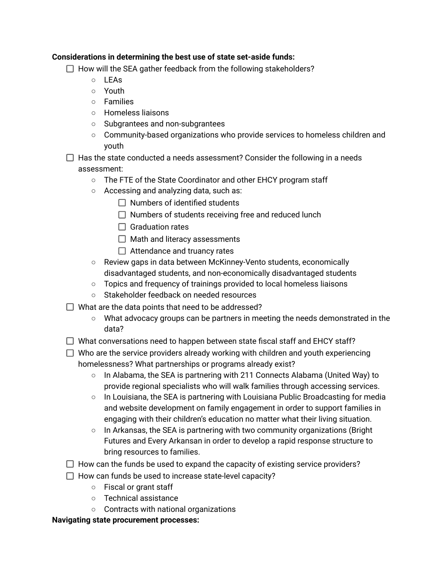## **Considerations in determining the best use of state set-aside funds:**

- $\Box$  How will the SEA gather feedback from the following stakeholders?
	- LEAs
	- Youth
	- Families
	- Homeless liaisons
	- Subgrantees and non-subgrantees
	- Community-based organizations who provide services to homeless children and youth
- $\Box$  Has the state conducted a needs assessment? Consider the following in a needs assessment:
	- The FTE of the State Coordinator and other EHCY program staff
	- Accessing and analyzing data, such as:
		- $\Box$  Numbers of identified students
		- $\Box$  Numbers of students receiving free and reduced lunch
		- $\Box$  Graduation rates
		- $\Box$  Math and literacy assessments
		- $\Box$  Attendance and truancy rates
	- Review gaps in data between McKinney-Vento students, economically disadvantaged students, and non-economically disadvantaged students
	- Topics and frequency of trainings provided to local homeless liaisons
	- Stakeholder feedback on needed resources
- $\Box$  What are the data points that need to be addressed?
	- What advocacy groups can be partners in meeting the needs demonstrated in the data?
- $\Box$  What conversations need to happen between state fiscal staff and EHCY staff?
- $\Box$  Who are the service providers already working with children and youth experiencing homelessness? What partnerships or programs already exist?
	- In Alabama, the SEA is partnering with 211 Connects Alabama (United Way) to provide regional specialists who will walk families through accessing services.
	- $\circ$  In Louisiana, the SEA is partnering with Louisiana Public Broadcasting for media and website development on family engagement in order to support families in engaging with their children's education no matter what their living situation.
	- $\circ$  In Arkansas, the SEA is partnering with two community organizations (Bright Futures and Every Arkansan in order to develop a rapid response structure to bring resources to families.
- $\Box$  How can the funds be used to expand the capacity of existing service providers?
- $\Box$  How can funds be used to increase state-level capacity?
	- Fiscal or grant staff
	- Technical assistance
	- Contracts with national organizations

## **Navigating state procurement processes:**